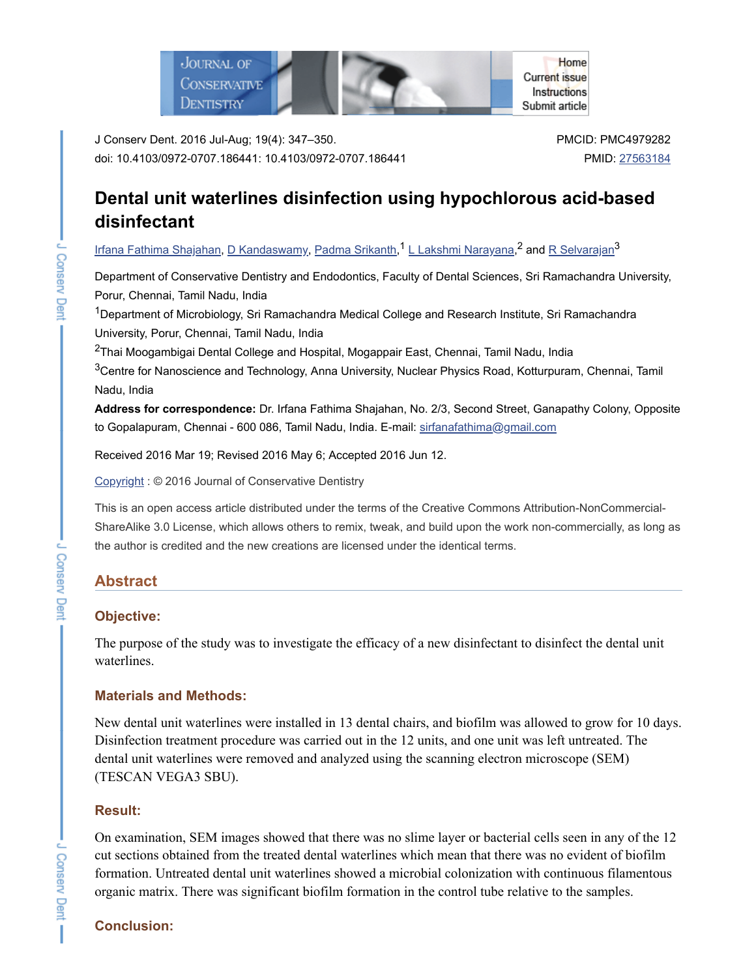

J Conserv Dent. 2016 Jul-Aug; 19(4): 347–350. doi: 10.4103/0972-0707.186441: 10.4103/0972-0707.186441 PMCID: PMC4979282 PMID: [27563184](https://www.ncbi.nlm.nih.gov/pubmed/27563184)

# **Dental unit waterlines disinfection using hypochlorous acid-based disinfectant**

<u>Irfana Fathima [Shajahan](https://www.ncbi.nlm.nih.gov/pubmed/?term=Shajahan%20IF%5BAuthor%5D&cauthor=true&cauthor_uid=27563184), D [Kandaswamy,](https://www.ncbi.nlm.nih.gov/pubmed/?term=Kandaswamy%20D%5BAuthor%5D&cauthor=true&cauthor_uid=27563184) Padma [Srikanth](https://www.ncbi.nlm.nih.gov/pubmed/?term=Srikanth%20P%5BAuthor%5D&cauthor=true&cauthor_uid=27563184),<sup>1</sup> L Lakshmi [Narayana,](https://www.ncbi.nlm.nih.gov/pubmed/?term=Narayana%20LL%5BAuthor%5D&cauthor=true&cauthor_uid=27563184)<sup>2</sup> and <u>R [Selvarajan](https://www.ncbi.nlm.nih.gov/pubmed/?term=Selvarajan%20R%5BAuthor%5D&cauthor=true&cauthor_uid=27563184)</u><sup>3</sup></u>

Department of Conservative Dentistry and Endodontics, Faculty of Dental Sciences, Sri Ramachandra University, Porur, Chennai, Tamil Nadu, India

<sup>1</sup>Department of Microbiology, Sri Ramachandra Medical College and Research Institute, Sri Ramachandra University, Porur, Chennai, Tamil Nadu, India

 $^{2}$ Thai Moogambigai Dental College and Hospital, Mogappair East, Chennai, Tamil Nadu, India

 $^3$ Centre for Nanoscience and Technology, Anna University, Nuclear Physics Road, Kotturpuram, Chennai, Tamil Nadu, India

**Address for correspondence:** Dr. Irfana Fathima Shajahan, No. 2/3, Second Street, Ganapathy Colony, Opposite to Gopalapuram, Chennai - 600 086, Tamil Nadu, India. E-mail: [sirfanafathima@gmail.com](mailto:dev@null)

Received 2016 Mar 19; Revised 2016 May 6; Accepted 2016 Jun 12.

[Copyright](https://www.ncbi.nlm.nih.gov/pmc/about/copyright/) : © 2016 Journal of Conservative Dentistry

This is an open access article distributed under the terms of the Creative Commons Attribution-NonCommercial-ShareAlike 3.0 License, which allows others to remix, tweak, and build upon the work non-commercially, as long as the author is credited and the new creations are licensed under the identical terms.

# **Abstract**

## **Objective:**

The purpose of the study was to investigate the efficacy of a new disinfectant to disinfect the dental unit waterlines.

## **Materials and Methods:**

New dental unit waterlines were installed in 13 dental chairs, and biofilm was allowed to grow for 10 days. Disinfection treatment procedure was carried out in the 12 units, and one unit was left untreated. The dental unit waterlines were removed and analyzed using the scanning electron microscope (SEM) (TESCAN VEGA3 SBU).

## **Result:**

On examination, SEM images showed that there was no slime layer or bacterial cells seen in any of the 12 cut sections obtained from the treated dental waterlines which mean that there was no evident of biofilm formation. Untreated dental unit waterlines showed a microbial colonization with continuous filamentous organic matrix. There was significant biofilm formation in the control tube relative to the samples.

# **Conclusion:**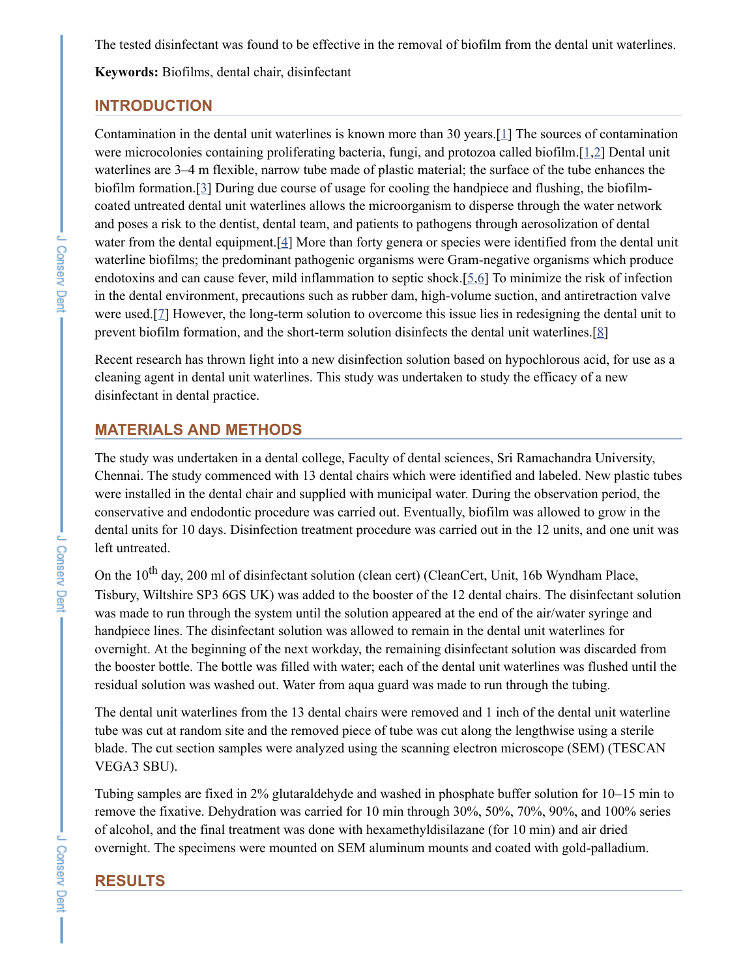The tested disinfectant was found to be effective in the removal of biofilm from the dental unit waterlines.

**Keywords:** Biofilms, dental chair, disinfectant

#### **INTRODUCTION**

Contamination in the dental unit waterlines is known more than 30 years.[[1](#page-3-0)] The sources of contamination were microcolonies containing proliferating bacteria, fungi, and protozoa called biofilm.[[1,](#page-3-0)[2\]](#page-3-1) Dental unit waterlines are 3–4 m flexible, narrow tube made of plastic material; the surface of the tube enhances the biofilm formation.[\[3\]](#page-4-0) During due course of usage for cooling the handpiece and flushing, the biofilmcoated untreated dental unit waterlines allows the microorganism to disperse through the water network and poses a risk to the dentist, dental team, and patients to pathogens through aerosolization of dental water from the dental equipment.<sup>[[4\]](#page-4-1)</sup> More than forty genera or species were identified from the dental unit waterline biofilms; the predominant pathogenic organisms were Gram-negative organisms which produce endotoxins and can cause fever, mild inflammation to septic shock.[[5](#page-4-2),[6\]](#page-4-3) To minimize the risk of infection in the dental environment, precautions such as rubber dam, high-volume suction, and antiretraction valve were used.[[7](#page-4-4)] However, the long-term solution to overcome this issue lies in redesigning the dental unit to prevent biofilm formation, and the short-term solution disinfects the dental unit waterlines.[\[8](#page-4-5)]

Recent research has thrown light into a new disinfection solution based on hypochlorous acid, for use as a cleaning agent in dental unit waterlines. This study was undertaken to study the efficacy of a new disinfectant in dental practice.

#### **MATERIALS AND METHODS**

The study was undertaken in a dental college, Faculty of dental sciences, Sri Ramachandra University, Chennai. The study commenced with 13 dental chairs which were identified and labeled. New plastic tubes were installed in the dental chair and supplied with municipal water. During the observation period, the conservative and endodontic procedure was carried out. Eventually, biofilm was allowed to grow in the dental units for 10 days. Disinfection treatment procedure was carried out in the 12 units, and one unit was left untreated.

On the  $10^{th}$  day, 200 ml of disinfectant solution (clean cert) (CleanCert, Unit, 16b Wyndham Place, Tisbury, Wiltshire SP3 6GS UK) was added to the booster of the 12 dental chairs. The disinfectant solution was made to run through the system until the solution appeared at the end of the air/water syringe and handpiece lines. The disinfectant solution was allowed to remain in the dental unit waterlines for overnight. At the beginning of the next workday, the remaining disinfectant solution was discarded from the booster bottle. The bottle was filled with water; each of the dental unit waterlines was flushed until the residual solution was washed out. Water from aqua guard was made to run through the tubing.

The dental unit waterlines from the 13 dental chairs were removed and 1 inch of the dental unit waterline tube was cut at random site and the removed piece of tube was cut along the lengthwise using a sterile blade. The cut section samples were analyzed using the scanning electron microscope (SEM) (TESCAN VEGA3 SBU).

Tubing samples are fixed in 2% glutaraldehyde and washed in phosphate buffer solution for 10–15 min to remove the fixative. Dehydration was carried for 10 min through 30%, 50%, 70%, 90%, and 100% series of alcohol, and the final treatment was done with hexamethyldisilazane (for 10 min) and air dried overnight. The specimens were mounted on SEM aluminum mounts and coated with gold-palladium.

## **RESULTS**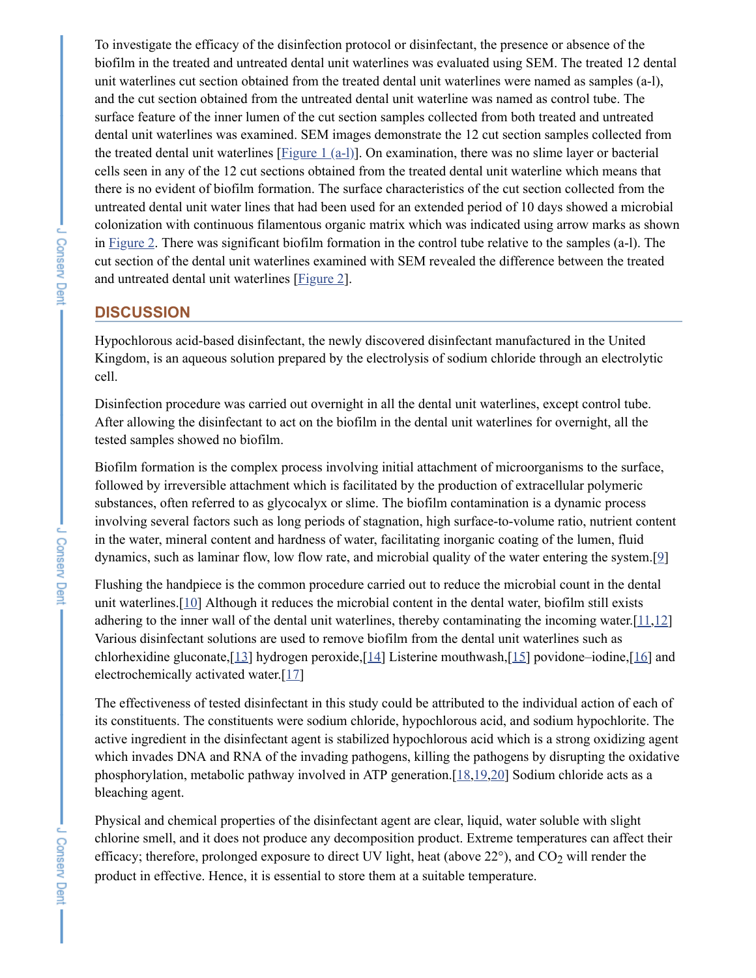To investigate the efficacy of the disinfection protocol or disinfectant, the presence or absence of the biofilm in the treated and untreated dental unit waterlines was evaluated using SEM. The treated 12 dental unit waterlines cut section obtained from the treated dental unit waterlines were named as samples (a-l), and the cut section obtained from the untreated dental unit waterline was named as control tube. The surface feature of the inner lumen of the cut section samples collected from both treated and untreated dental unit waterlines was examined. SEM images demonstrate the 12 cut section samples collected from the treated dental unit waterlines [[Figure](https://www.ncbi.nlm.nih.gov/pmc/articles/PMC4979282/figure/F1/) 1 (a-l)]. On examination, there was no slime layer or bacterial cells seen in any of the 12 cut sections obtained from the treated dental unit waterline which means that there is no evident of biofilm formation. The surface characteristics of the cut section collected from the untreated dental unit water lines that had been used for an extended period of 10 days showed a microbial colonization with continuous filamentous organic matrix which was indicated using arrow marks as shown in [Figure](https://www.ncbi.nlm.nih.gov/pmc/articles/PMC4979282/figure/F2/) 2. There was significant biofilm formation in the control tube relative to the samples (a-l). The cut section of the dental unit waterlines examined with SEM revealed the difference between the treated and untreated dental unit waterlines [\[Figure](https://www.ncbi.nlm.nih.gov/pmc/articles/PMC4979282/figure/F2/) 2].

## **DISCUSSION**

Hypochlorous acid-based disinfectant, the newly discovered disinfectant manufactured in the United Kingdom, is an aqueous solution prepared by the electrolysis of sodium chloride through an electrolytic cell.

Disinfection procedure was carried out overnight in all the dental unit waterlines, except control tube. After allowing the disinfectant to act on the biofilm in the dental unit waterlines for overnight, all the tested samples showed no biofilm.

Biofilm formation is the complex process involving initial attachment of microorganisms to the surface, followed by irreversible attachment which is facilitated by the production of extracellular polymeric substances, often referred to as glycocalyx or slime. The biofilm contamination is a dynamic process involving several factors such as long periods of stagnation, high surface-to-volume ratio, nutrient content in the water, mineral content and hardness of water, facilitating inorganic coating of the lumen, fluid dynamics, such as laminar flow, low flow rate, and microbial quality of the water entering the system.[[9](#page-4-6)]

Flushing the handpiece is the common procedure carried out to reduce the microbial count in the dental unit waterlines.[[10\]](#page-4-7) Although it reduces the microbial content in the dental water, biofilm still exists adhering to the inner wall of the dental unit waterlines, thereby contaminating the incoming water.[[11](#page-4-8)[,12](#page-4-9)] Various disinfectant solutions are used to remove biofilm from the dental unit waterlines such as chlorhexidine gluconate, $[13]$  $[13]$  hydrogen peroxide, $[14]$  Listerine mouthwash, $[15]$  $[15]$  $[15]$  povidone–iodine, $[16]$  $[16]$  and electrochemically activated water.[[17\]](#page-4-14)

The effectiveness of tested disinfectant in this study could be attributed to the individual action of each of its constituents. The constituents were sodium chloride, hypochlorous acid, and sodium hypochlorite. The active ingredient in the disinfectant agent is stabilized hypochlorous acid which is a strong oxidizing agent which invades DNA and RNA of the invading pathogens, killing the pathogens by disrupting the oxidative phosphorylation, metabolic pathway involved in ATP generation.[\[18](#page-4-15),[19](#page-4-16)[,20](#page-4-17)] Sodium chloride acts as a bleaching agent.

Physical and chemical properties of the disinfectant agent are clear, liquid, water soluble with slight chlorine smell, and it does not produce any decomposition product. Extreme temperatures can affect their efficacy; therefore, prolonged exposure to direct UV light, heat (above  $22^{\circ}$ ), and  $CO_2$  will render the product in effective. Hence, it is essential to store them at a suitable temperature.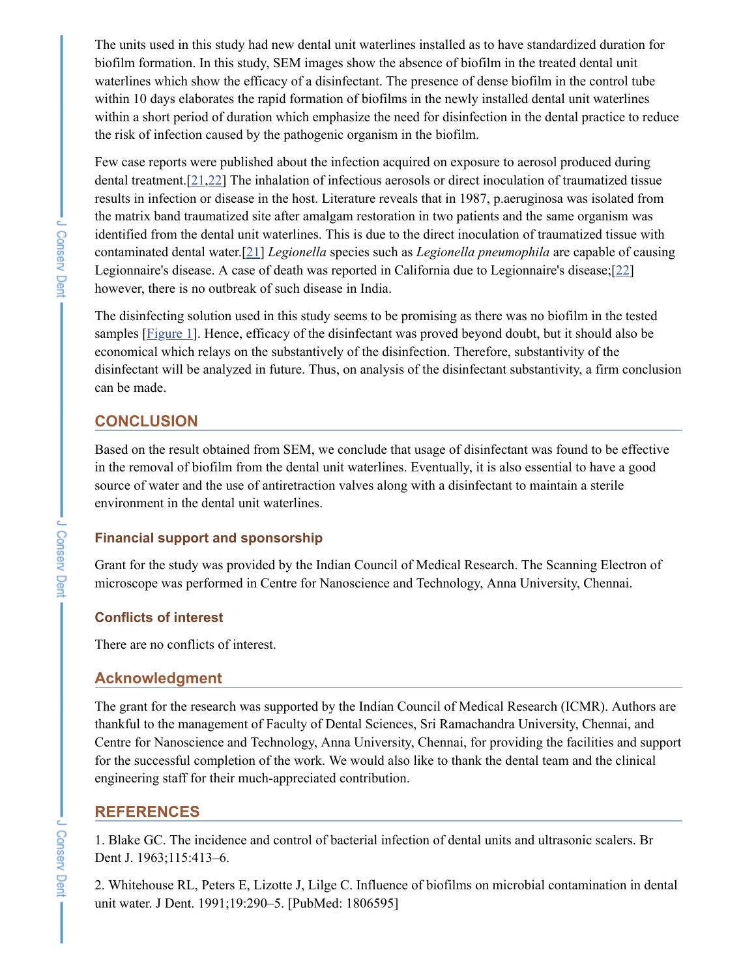The units used in this study had new dental unit waterlines installed as to have standardized duration for biofilm formation. In this study, SEM images show the absence of biofilm in the treated dental unit waterlines which show the efficacy of a disinfectant. The presence of dense biofilm in the control tube within 10 days elaborates the rapid formation of biofilms in the newly installed dental unit waterlines within a short period of duration which emphasize the need for disinfection in the dental practice to reduce the risk of infection caused by the pathogenic organism in the biofilm.

Few case reports were published about the infection acquired on exposure to aerosol produced during dental treatment.[[21](#page-5-0),[22\]](#page-5-1) The inhalation of infectious aerosols or direct inoculation of traumatized tissue results in infection or disease in the host. Literature reveals that in 1987, p.aeruginosa was isolated from the matrix band traumatized site after amalgam restoration in two patients and the same organism was identified from the dental unit waterlines. This is due to the direct inoculation of traumatized tissue with contaminated dental water.[[21\]](#page-5-0) *Legionella* species such as *Legionella pneumophila* are capable of causing Legionnaire's disease. A case of death was reported in California due to Legionnaire's disease;[\[22](#page-5-1)] however, there is no outbreak of such disease in India.

The disinfecting solution used in this study seems to be promising as there was no biofilm in the tested samples [[Figure](https://www.ncbi.nlm.nih.gov/pmc/articles/PMC4979282/figure/F1/) 1]. Hence, efficacy of the disinfectant was proved beyond doubt, but it should also be economical which relays on the substantively of the disinfection. Therefore, substantivity of the disinfectant will be analyzed in future. Thus, on analysis of the disinfectant substantivity, a firm conclusion can be made.

## **CONCLUSION**

Based on the result obtained from SEM, we conclude that usage of disinfectant was found to be effective in the removal of biofilm from the dental unit waterlines. Eventually, it is also essential to have a good source of water and the use of antiretraction valves along with a disinfectant to maintain a sterile environment in the dental unit waterlines.

#### **Financial support and sponsorship**

Grant for the study was provided by the Indian Council of Medical Research. The Scanning Electron of microscope was performed in Centre for Nanoscience and Technology, Anna University, Chennai.

## **Conflicts of interest**

There are no conflicts of interest.

#### **Acknowledgment**

The grant for the research was supported by the Indian Council of Medical Research (ICMR). Authors are thankful to the management of Faculty of Dental Sciences, Sri Ramachandra University, Chennai, and Centre for Nanoscience and Technology, Anna University, Chennai, for providing the facilities and support for the successful completion of the work. We would also like to thank the dental team and the clinical engineering staff for their much-appreciated contribution.

#### **REFERENCES**

<span id="page-3-0"></span>1. Blake GC. The incidence and control of bacterial infection of dental units and ultrasonic scalers. Br Dent J. 1963;115:413–6.

<span id="page-3-1"></span>2. Whitehouse RL, Peters E, Lizotte J, Lilge C. Influence of biofilms on microbial contamination in dental unit water. J Dent. 1991;19:290–5. [PubMed: 1806595]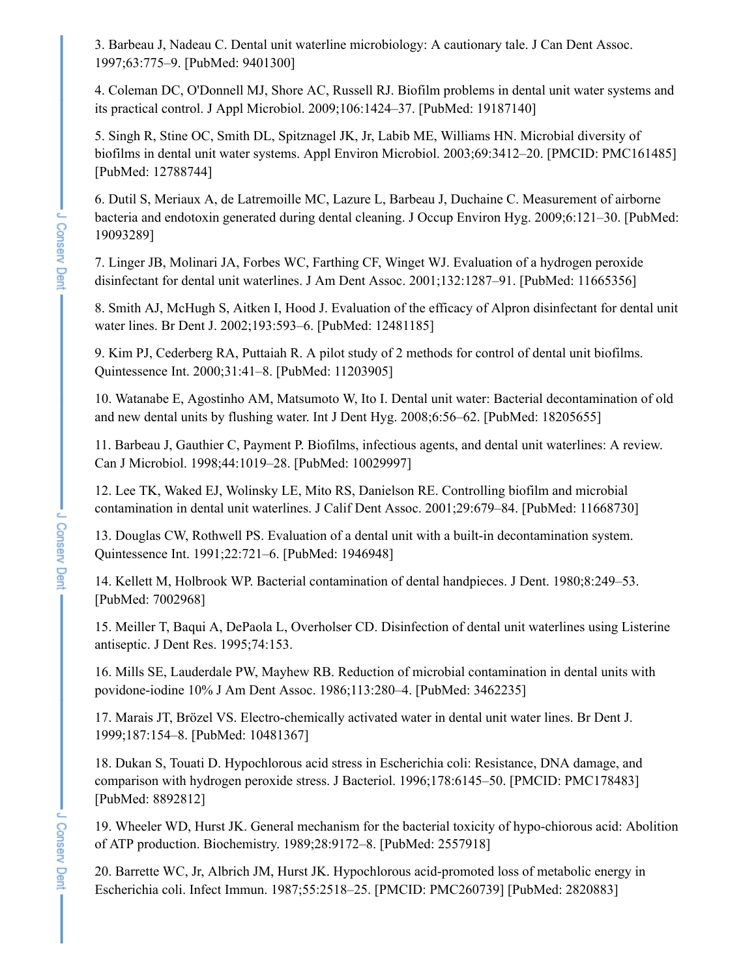<span id="page-4-0"></span>3. Barbeau J, Nadeau C. Dental unit waterline microbiology: A cautionary tale. J Can Dent Assoc. 1997;63:775–9. [PubMed: 9401300]

<span id="page-4-1"></span>4. Coleman DC, O'Donnell MJ, Shore AC, Russell RJ. Biofilm problems in dental unit water systems and its practical control. J Appl Microbiol. 2009;106:1424–37. [PubMed: 19187140]

<span id="page-4-2"></span>5. Singh R, Stine OC, Smith DL, Spitznagel JK, Jr, Labib ME, Williams HN. Microbial diversity of biofilms in dental unit water systems. Appl Environ Microbiol. 2003;69:3412–20. [PMCID: PMC161485] [PubMed: 12788744]

<span id="page-4-3"></span>6. Dutil S, Meriaux A, de Latremoille MC, Lazure L, Barbeau J, Duchaine C. Measurement of airborne bacteria and endotoxin generated during dental cleaning. J Occup Environ Hyg. 2009;6:121–30. [PubMed: 19093289]

<span id="page-4-4"></span>7. Linger JB, Molinari JA, Forbes WC, Farthing CF, Winget WJ. Evaluation of a hydrogen peroxide disinfectant for dental unit waterlines. J Am Dent Assoc. 2001;132:1287–91. [PubMed: 11665356]

<span id="page-4-5"></span>8. Smith AJ, McHugh S, Aitken I, Hood J. Evaluation of the efficacy of Alpron disinfectant for dental unit water lines. Br Dent J. 2002;193:593–6. [PubMed: 12481185]

<span id="page-4-6"></span>9. Kim PJ, Cederberg RA, Puttaiah R. A pilot study of 2 methods for control of dental unit biofilms. Quintessence Int. 2000;31:41–8. [PubMed: 11203905]

<span id="page-4-7"></span>10. Watanabe E, Agostinho AM, Matsumoto W, Ito I. Dental unit water: Bacterial decontamination of old and new dental units by flushing water. Int J Dent Hyg. 2008;6:56–62. [PubMed: 18205655]

<span id="page-4-8"></span>11. Barbeau J, Gauthier C, Payment P. Biofilms, infectious agents, and dental unit waterlines: A review. Can J Microbiol. 1998;44:1019–28. [PubMed: 10029997]

<span id="page-4-9"></span>12. Lee TK, Waked EJ, Wolinsky LE, Mito RS, Danielson RE. Controlling biofilm and microbial contamination in dental unit waterlines. J Calif Dent Assoc. 2001;29:679–84. [PubMed: 11668730]

<span id="page-4-10"></span>13. Douglas CW, Rothwell PS. Evaluation of a dental unit with a built-in decontamination system. Quintessence Int. 1991;22:721–6. [PubMed: 1946948]

<span id="page-4-11"></span>14. Kellett M, Holbrook WP. Bacterial contamination of dental handpieces. J Dent. 1980;8:249–53. [PubMed: 7002968]

<span id="page-4-12"></span>15. Meiller T, Baqui A, DePaola L, Overholser CD. Disinfection of dental unit waterlines using Listerine antiseptic. J Dent Res. 1995;74:153.

<span id="page-4-13"></span>16. Mills SE, Lauderdale PW, Mayhew RB. Reduction of microbial contamination in dental units with povidone-iodine 10% J Am Dent Assoc. 1986;113:280–4. [PubMed: 3462235]

<span id="page-4-14"></span>17. Marais JT, Brözel VS. Electro-chemically activated water in dental unit water lines. Br Dent J. 1999;187:154–8. [PubMed: 10481367]

<span id="page-4-15"></span>18. Dukan S, Touati D. Hypochlorous acid stress in Escherichia coli: Resistance, DNA damage, and comparison with hydrogen peroxide stress. J Bacteriol. 1996;178:6145–50. [PMCID: PMC178483] [PubMed: 8892812]

<span id="page-4-16"></span>19. Wheeler WD, Hurst JK. General mechanism for the bacterial toxicity of hypo-chiorous acid: Abolition of ATP production. Biochemistry. 1989;28:9172–8. [PubMed: 2557918]

<span id="page-4-17"></span>20. Barrette WC, Jr, Albrich JM, Hurst JK. Hypochlorous acid-promoted loss of metabolic energy in Escherichia coli. Infect Immun. 1987;55:2518–25. [PMCID: PMC260739] [PubMed: 2820883]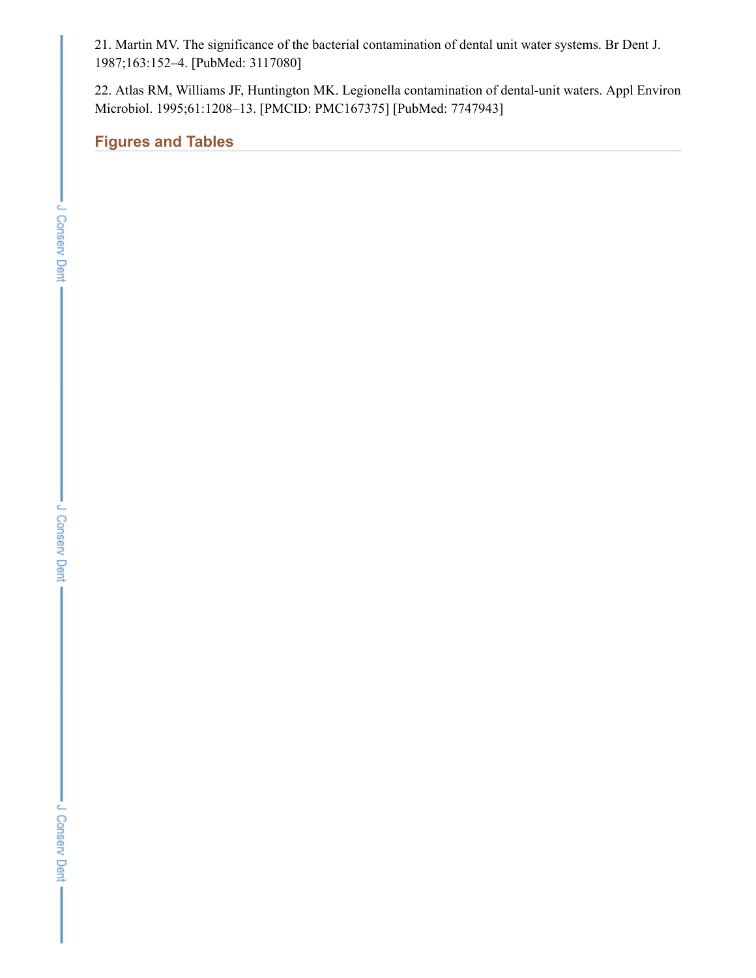<span id="page-5-0"></span>21. Martin MV. The significance of the bacterial contamination of dental unit water systems. Br Dent J. 1987;163:152–4. [PubMed: 3117080]

<span id="page-5-1"></span>22. Atlas RM, Williams JF, Huntington MK. Legionella contamination of dental-unit waters. Appl Environ Microbiol. 1995;61:1208–13. [PMCID: PMC167375] [PubMed: 7747943]

**Figures and Tables**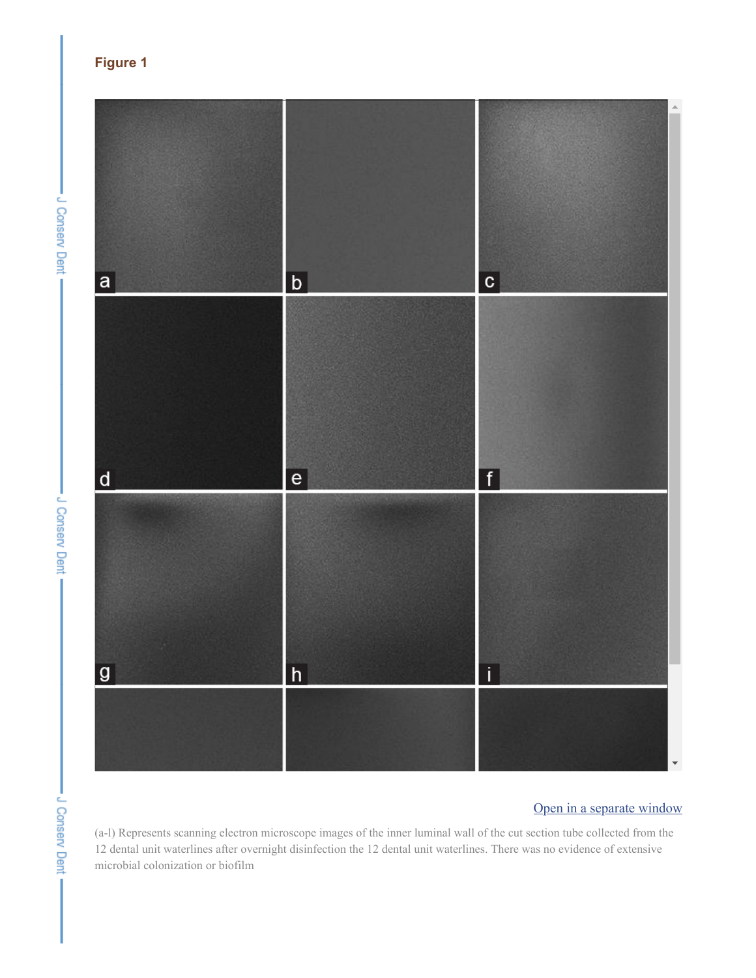- J Conserv Dent -





# Open in a [separate](https://www.ncbi.nlm.nih.gov/pmc/articles/PMC4979282/figure/F1/?report=objectonly) window

(a-l) Represents scanning electron microscope images of the inner luminal wall of the cut section tube collected from the 12 dental unit waterlines after overnight disinfection the 12 dental unit waterlines. There was no evidence of extensive microbial colonization or biofilm